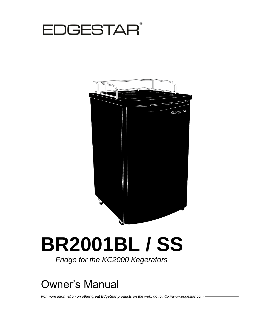

## Owner's Manual

*For more information on other great EdgeStar products on the web, go to http://www.edgestar.com*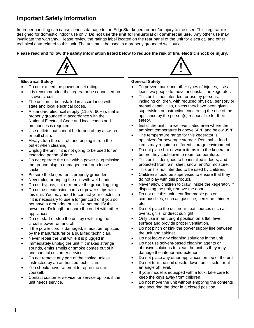## <span id="page-1-0"></span>**Important Safety Information**

Improper handling can cause serious damage to the EdgeStar kegerator and/or injury to the user. This kegerator is designed for domestic indoor use only. **Do not use the unit for industrial or commercial use.** Any other use may invalidate the warranty. Please review the ratings label located on the rear panel of the unit for electrical and other technical data related to this unit. The unit must be used in a properly grounded wall outlet.

**Please read and follow the safety information listed below to reduce the risk of fire, electric shock or injury.**



#### **Electrical Safety**

- Do not exceed the power outlet ratings.
- It is recommended the kegerator be connected on its own circuit.
- The unit must be installed in accordance with state and local electrical codes.
- A standard electrical supply (115 V, 60Hz), that is properly grounded in accordance with the National Electrical Code and local codes and ordinances is required.
- Use outlets that cannot be turned off by a switch or pull chain.
- Always turn the unit off and unplug it from the outlet when cleaning.
- Unplug the unit if it is not going to be used for an extended period of time.
- Do not operate the unit with a power plug missing the ground plug, a damaged cord or a loose socket.
- Be sure the kegerator is properly grounded.
- Never plug or unplug the unit with wet hands.
- Do not bypass, cut or remove the grounding plug.
- Do not use extension cords or power strips with this unit. You may need to contact your electrician if it is necessary to use a longer cord or if you do not have a grounded outlet. Do not modify the power cord's length or share the outlet with other appliances.
- Do not start or stop the unit by switching the circuit's power on and off.
- If the power cord is damaged, it must be replaced by the manufacturer or a qualified technician.
- Never repair the unit while it is plugged in.
- Immediately unplug the unit if it makes strange sounds, emits smells or smoke comes out of it, and contact customer service.
- Do not remove any part of the casing unless instructed by an authorized technician.
- You should never attempt to repair the unit yourself.
- Contact customer service for service options if the unit needs service.

#### **General Safety**

- To prevent back and other types of injuries, use at least two people to move and install the kegerator.
- This unit is not intended for use by persons, including children, with reduced physical, sensory or mental capabilities, unless they have been given supervision or instruction concerning the use of the appliance by the person(s) responsible for their safety.
- Install the unit in a well-ventilated area where the ambient temperature is above 50°F and below 95°F.
- The temperature range for this kegerator is optimized for beverage storage. Perishable food items may require a different storage environment.
- Do not place hot or warm items into the kegerator before they cool down to room temperature.
- This unit is designed to be installed indoors, and protected from rain, sleet, snow, and/or moisture.
- This unit is not intended to be used by children.
- Children should be supervised to ensure that they do not play with this product.
- Never allow children to crawl inside the kegerator. If disposing the unit, remove the door.
- Do not use this unit near flammable gas or combustibles, such as gasoline, benzene, thinner, etc.
- Do not place the unit near heat sources such as ovens, grills, or direct sunlight.
- Only use in an upright position on a flat, level surface and provide proper ventilation.
- Do not pinch or kink the power supply line between the unit and cabinet.
- Do not leave any cleaning solutions in the unit
- Do not use solvent-based cleaning agents or abrasive solutions to clean the unit as they may damage the interior and exterior.
- Do not place any other appliances on top of the unit.
- Do not turn the unit upside down, on its side, or at an angle off level.
- If your model is equipped with a lock, take care to keep the keys away from children.
- Do not move the unit without emptying the contents and securing the door in a closed position.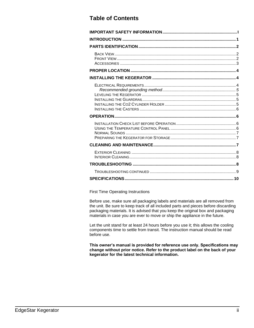### **Table of Contents**

First Time Operating Instructions

Before use, make sure all packaging labels and materials are all removed from the unit. Be sure to keep track of all included parts and pieces before discarding packaging materials. It is advised that you keep the original box and packaging materials in case you are ever to move or ship the appliance in the future.

Let the unit stand for at least 24 hours before you use it; this allows the cooling components time to settle from transit. The instruction manual should be read before use.

**This owner's manual is provided for reference use only. Specifications may change without prior notice. Refer to the product label on the back of your kegerator for the latest technical information.**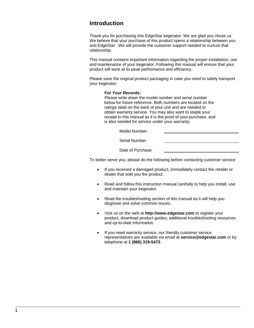#### <span id="page-3-0"></span>**Introduction**

Thank you for purchasing this EdgeStar kegerator. We are glad you chose us. We believe that your purchase of this product opens a relationship between you and EdgeStar. We will provide the customer support needed to nurture that relationship.

This manual contains important information regarding the proper installation, use and maintenance of your kegerator. Following this manual will ensure that your product will work at its peak performance and efficiency.

Please save the original product packaging in case you need to safely transport your kegerator.

#### **For Your Records:**

Please write down the model number and serial number below for future reference. Both numbers are located on the ratings label on the back of your unit and are needed to obtain warranty service. You may also want to staple your receipt to this manual as it is the proof of your purchase, and is also needed for service under your warranty.

Model Number:

Serial Number:

Date of Purchase:

To better serve you, please do the following before contacting customer service:

- If you received a damaged product, immediately contact the retailer or dealer that sold you the product.
- Read and follow this instruction manual carefully to help you install, use and maintain your kegerator.
- Read the troubleshooting section of this manual as it will help you diagnose and solve common issues.
- Visit us on the web at **http://www.edgestar.com** to register your product, download product guides, additional troubleshooting resources and up-to-date information.
- If you need warranty service, our friendly customer service representatives are available via email at **service@edgestar.com** or by telephone at **1 (866) 319-5473**.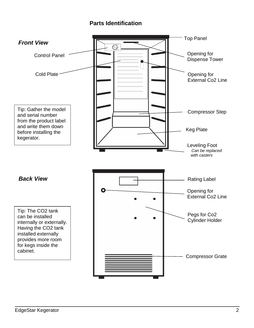#### <span id="page-4-0"></span>**Parts Identification**

<span id="page-4-2"></span><span id="page-4-1"></span>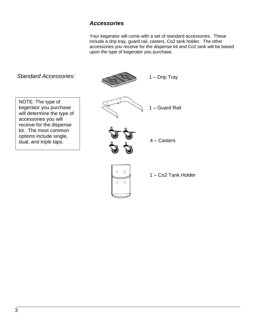#### <span id="page-5-0"></span>*Accessories*

Your kegerator will come with a set of standard accessories. These include a drip tray, guard rail, casters, Co2 tank holder. The other accessories you receive for the dispense kit and Co2 tank will be based upon the type of kegerator you purchase.

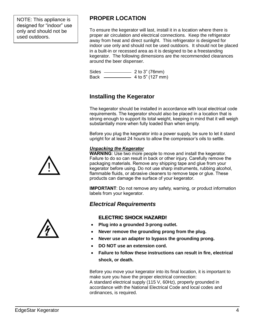NOTE: This appliance is designed for "indoor" use only and should not be used outdoors.

## <span id="page-6-0"></span>**PROPER LOCATION**

To ensure the kegerator will last, install it in a location where there is proper air circulation and electrical connections. Keep the refrigerator away from heat and direct sunlight. This refrigerator is designed for indoor use only and should not be used outdoors. It should not be placed in a built-in or recessed area as it is designed to be a freestanding kegerator. The following dimensions are the recommended clearances around the beer dispenser.

Sides <u>\_\_\_\_\_\_\_\_\_</u> 2 to 3" (76mm) Back  $\frac{2.56 \times 10^{10}}{4 \text{ to } 5^{9} (127 \text{ mm})}$ 

#### <span id="page-6-1"></span>**Installing the Kegerator**

The kegerator should be installed in accordance with local electrical code requirements. The kegerator should also be placed in a location that is strong enough to support its total weight, keeping in mind that it will weigh substantially more when fully loaded than when empty.

Before you plug the kegerator into a power supply, be sure to let it stand upright for at least 24 hours to allow the compressor's oils to settle.

#### *Unpacking the Kegerator*

**WARNING**: Use two more people to move and install the kegerator. Failure to do so can result in back or other injury. Carefully remove the packaging materials. Remove any shipping tape and glue from your kegerator before using. Do not use sharp instruments, rubbing alcohol, flammable fluids, or abrasive cleaners to remove tape or glue. These products can damage the surface of your kegerator.

**IMPORTANT**: Do not remove any safety, warning, or product information labels from your kegerator.

#### <span id="page-6-2"></span>*Electrical Requirements*

#### **ELECTRIC SHOCK HAZARD!**

- **Plug into a grounded 3-prong outlet.**
- **Never remove the grounding prong from the plug.**
- **Never use an adapter to bypass the grounding prong.**
- **DO NOT use an extension cord.**
- **Failure to follow these instructions can result in fire, electrical shock, or death.**

Before you move your kegerator into its final location, it is important to make sure you have the proper electrical connection: A standard electrical supply (115 V, 60Hz), properly grounded in accordance with the National Electrical Code and local codes and ordinances, is required.



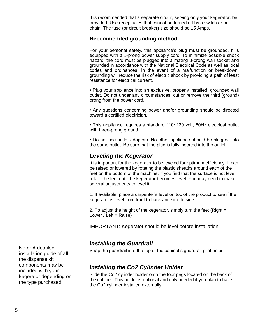It is recommended that a separate circuit, serving only your kegerator, be provided. Use receptacles that cannot be turned off by a switch or pull chain. The fuse (or circuit breaker) size should be 15 Amps.

#### <span id="page-7-0"></span>**Recommended grounding method**

For your personal safety, this appliance's plug must be grounded. It is equipped with a 3-prong power supply cord. To minimize possible shock hazard, the cord must be plugged into a mating 3-prong wall socket and grounded in accordance with the National Electrical Code as well as local codes and ordinances. In the event of a malfunction or breakdown, grounding will reduce the risk of electric shock by providing a path of least resistance for electrical current.

• Plug your appliance into an exclusive, properly installed, grounded wall outlet. Do not under any circumstances, cut or remove the third (ground) prong from the power cord.

• Any questions concerning power and/or grounding should be directed toward a certified electrician.

• This appliance requires a standard 110~120 volt, 60Hz electrical outlet with three-prong ground.

• Do not use outlet adaptors. No other appliance should be plugged into the same outlet. Be sure that the plug is fully inserted into the outlet.

#### <span id="page-7-1"></span>*Leveling the Kegerator*

It is important for the kegerator to be leveled for optimum efficiency. It can be raised or lowered by rotating the plastic sheaths around each of the feet on the bottom of the machine. If you find that the surface is not level, rotate the feet until the kegerator becomes level. You may need to make several adjustments to level it.

1. If available, place a carpenter's level on top of the product to see if the kegerator is level from front to back and side to side.

2. To adjust the height of the kegerator, simply turn the feet (Right = Lower / Left =  $Raise$ )

IMPORTANT: Kegerator should be level before installation

#### <span id="page-7-2"></span>*Installing the Guardrail*

Snap the guardrail into the top of the cabinet's guardrail pilot holes.

#### <span id="page-7-3"></span>*Installing the Co2 Cylinder Holder*

Slide the Co2 cylinder holder onto the four pegs located on the back of the cabinet. This holder is optional and only needed if you plan to have the Co2 cylinder installed externally.

Note: A detailed installation guide of all the dispense kit components may be included with your kegerator depending on the type purchased.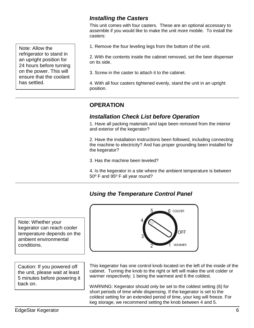#### <span id="page-8-0"></span>*Installing the Casters*

This unit comes with four casters. These are an optional accessary to assemble if you would like to make the unit more mobile. To install the casters:

1. Remove the four leveling legs from the bottom of the unit.

2. With the contents inside the cabinet removed, set the beer dispenser on its side.

3. Screw in the caster to attach it to the cabinet.

4. With all four casters tightened evenly, stand the unit in an upright position.

## <span id="page-8-1"></span>**OPERATION**

#### <span id="page-8-2"></span>*Installation Check List before Operation*

1. Have all packing materials and tape been removed from the interior and exterior of the kegerator?

2. Have the installation instructions been followed, including connecting the machine to electricity? And has proper grounding been installed for the kegerator?

3. Has the machine been leveled?

4. Is the kegerator in a site where the ambient temperature is between 50º F and 95º F all year round?

**6 COLDER** 

OFF

<span id="page-8-4"></span>**WARMER** 

#### <span id="page-8-3"></span>*Using the Temperature Control Panel*

Note: Whether your kegerator can reach cooler temperature depends on the ambient environmental conditions.

Caution: If you powered off the unit, please wait at least 5 minutes before powering it back on.

This kegerator has one control knob located on the left of the inside of the cabinet. Turning the knob to the right or left will make the unit colder or warmer respectively; 1 being the warmest and 6 the coldest.

WARNING: Kegerator should only be set to the coldest setting (6) for short periods of time while dispensing. If the kegerator is set to the coldest setting for an extended period of time, your keg will freeze. For keg storage, we recommend setting the knob between 4 and 5.

Note: Allow the refrigerator to stand in an upright position for 24 hours before turning on the power. This will ensure that the coolant has settled.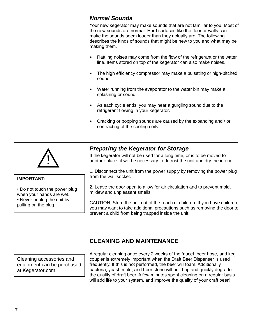## *Normal Sounds*

Your new kegerator may make sounds that are not familiar to you. Most of the new sounds are normal. Hard surfaces like the floor or walls can make the sounds seem louder than they actually are. The following describes the kinds of sounds that might be new to you and what may be making them.

- Rattling noises may come from the flow of the refrigerant or the water line. Items stored on top of the kegerator can also make noises.
- The high efficiency compressor may make a pulsating or high-pitched sound.
- Water running from the evaporator to the water bin may make a splashing or sound.
- As each cycle ends, you may hear a gurgling sound due to the refrigerant flowing in your kegerator.
- Cracking or popping sounds are caused by the expanding and / or contracting of the cooling coils.



• Do not touch the power plug when your hands are wet. • Never unplug the unit by

**IMPORTANT:**

pulling on the plug.

## <span id="page-9-0"></span>*Preparing the Kegerator for Storage*

If the kegerator will not be used for a long time, or is to be moved to another place, it will be necessary to defrost the unit and dry the interior.

1. Disconnect the unit from the power supply by removing the power plug from the wall socket.

2. Leave the door open to allow for air circulation and to prevent mold, mildew and unpleasant smells.

CAUTION: Store the unit out of the reach of children. If you have children, you may want to take additional precautions such as removing the door to prevent a child from being trapped inside the unit!

## <span id="page-9-1"></span>**CLEANING AND MAINTENANCE**

Cleaning accessories and equipment can be purchased at Kegerator.com

A regular cleaning once every 2 weeks of the faucet, beer hose, and keg coupler is extremely important when the Draft Beer Dispenser is used frequently. If this is not performed, the beer will foam. Additionally bacteria, yeast, mold, and beer stone will build up and quickly degrade the quality of draft beer. A few minutes spent cleaning on a regular basis will add life to your system, and improve the quality of your draft beer!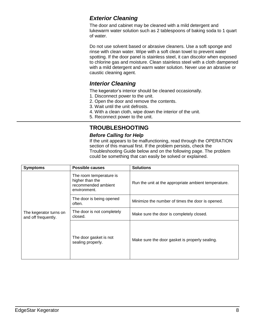## <span id="page-10-0"></span>*Exterior Cleaning*

The door and cabinet may be cleaned with a mild detergent and lukewarm water solution such as 2 tablespoons of baking soda to 1 quart of water.

Do not use solvent based or abrasive cleaners. Use a soft sponge and rinse with clean water. Wipe with a soft clean towel to prevent water spotting. If the door panel is stainless steel, it can discolor when exposed to chlorine gas and moisture. Clean stainless steel with a cloth dampened with a mild detergent and warm water solution. Never use an abrasive or caustic cleaning agent.

#### <span id="page-10-1"></span>*Interior Cleaning*

The kegerator's interior should be cleaned occasionally.

- 1. Disconnect power to the unit.
- 2. Open the door and remove the contents.
- 3. Wait until the unit defrosts.
- 4. With a clean cloth, wipe down the interior of the unit.
- <span id="page-10-2"></span>5. Reconnect power to the unit.

## **TROUBLESHOOTING**

#### *Before Calling for Help*

If the unit appears to be malfunctioning, read through the OPERATION section of this manual first. If the problem persists, check the Troubleshooting Guide below and on the following page. The problem could be something that can easily be solved or explained.

| <b>Symptoms</b>                               | <b>Possible causes</b>                                                            | <b>Solutions</b>                                     |
|-----------------------------------------------|-----------------------------------------------------------------------------------|------------------------------------------------------|
| The kegerator turns on<br>and off frequently. | The room temperature is<br>higher than the<br>recommended ambient<br>environment. | Run the unit at the appropriate ambient temperature. |
|                                               | The door is being opened<br>often.                                                | Minimize the number of times the door is opened.     |
|                                               | The door is not completely<br>closed.                                             | Make sure the door is completely closed.             |
|                                               | The door gasket is not<br>sealing properly.                                       | Make sure the door gasket is properly sealing.       |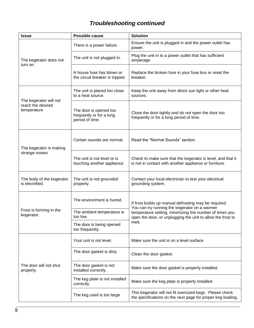## <span id="page-11-0"></span>*Troubleshooting continued*

| <b>Issue</b>                                               | Possible cause                                                        | <b>Solution</b>                                                                                                                                                                                                                           |
|------------------------------------------------------------|-----------------------------------------------------------------------|-------------------------------------------------------------------------------------------------------------------------------------------------------------------------------------------------------------------------------------------|
| The kegerator does not<br>turn on.                         | There is a power failure.                                             | Ensure the unit is plugged in and the power outlet has<br>power.                                                                                                                                                                          |
|                                                            | The unit is not plugged in.                                           | Plug the unit in to a power outlet that has sufficient<br>amperage.                                                                                                                                                                       |
|                                                            | A house fuse has blown or<br>the circuit breaker is tripped.          | Replace the broken fuse in your fuse box or reset the<br>breaker.                                                                                                                                                                         |
| The kegerator will not<br>reach the desired<br>temperature | The unit is placed too close<br>to a heat source.                     | Keep the unit away from direct sun light or other heat<br>sources.                                                                                                                                                                        |
|                                                            | The door is opened too<br>frequently or for a long<br>period of time. | Close the door tightly and do not open the door too<br>frequently or for a long period of time.                                                                                                                                           |
| The kegerator is making<br>strange noises                  | Certain sounds are normal.                                            | Read the "Normal Sounds" section.                                                                                                                                                                                                         |
|                                                            | The unit is not level or is<br>touching another appliance.            | Check to make sure that the kegerator is level, and that it<br>is not in contact with another appliance or furniture.                                                                                                                     |
| The body of the kegerator<br>is electrified.               | The unit is not grounded<br>properly.                                 | Contact your local electrician to test your electrical<br>grounding system.                                                                                                                                                               |
| Frost is forming in the<br>kegerator.                      | The environment is humid.                                             | If frost builds up manual defrosting may be required.<br>You can try running the kegerator on a warmer<br>temperature setting, minimizing the number of times you<br>open the door, or unplugging the unit to allow the frost to<br>melt. |
|                                                            | The ambient temperature is<br>too low.                                |                                                                                                                                                                                                                                           |
|                                                            | The door is being opened<br>too frequently.                           |                                                                                                                                                                                                                                           |
| The door will not shut<br>properly.                        | Your unit is not level.                                               | Make sure the unit is on a level surface.                                                                                                                                                                                                 |
|                                                            | The door gasket is dirty.                                             | Clean the door gasket.                                                                                                                                                                                                                    |
|                                                            | The door gasket is not<br>installed correctly.                        | Make sure the door gasket is properly installed.                                                                                                                                                                                          |
|                                                            | The keg plate is not installed<br>correctly                           | Make sure the keg plate is properly installed.                                                                                                                                                                                            |
|                                                            | The keg used is too large                                             | This kegerator will not fit oversized kegs. Please check<br>the specifications on the next page for proper keg loading.                                                                                                                   |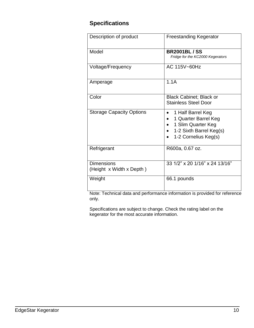## <span id="page-12-0"></span>**Specifications**

| Description of product                        | <b>Freestanding Kegerator</b>                                                                                      |
|-----------------------------------------------|--------------------------------------------------------------------------------------------------------------------|
| Model                                         | <b>BR2001BL/SS</b><br>Fridge for the KC2000 Kegerators                                                             |
| Voltage/Frequency                             | AC 115V~60Hz                                                                                                       |
| Amperage                                      | 1.1A                                                                                                               |
| Color                                         | <b>Black Cabinet; Black or</b><br><b>Stainless Steel Door</b>                                                      |
| <b>Storage Capacity Options</b>               | 1 Half Barrel Keg<br>1 Quarter Barrel Keg<br>1 Slim Quarter Keg<br>1-2 Sixth Barrel Keg(s)<br>1-2 Cornelius Keg(s) |
| Refrigerant                                   | R600a, 0.67 oz.                                                                                                    |
| <b>Dimensions</b><br>(Height x Width x Depth) | 33 1/2" x 20 1/16" x 24 13/16"                                                                                     |
| Weight                                        | 66.1 pounds                                                                                                        |

Note: Technical data and performance information is provided for reference only.

Specifications are subject to change. Check the rating label on the kegerator for the most accurate information.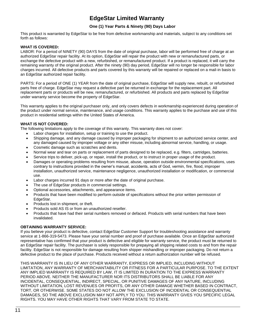## **EdgeStar Limited Warranty**

#### **One (1) Year Parts & Ninety (90) Days Labor**

This product is warranted by EdgeStar to be free from defective workmanship and materials, subject to any conditions set forth as follows:

#### **WHAT IS COVERED:**

LABOR: For a period of NINETY (90) DAYS from the date of original purchase, labor will be performed free of charge at an authorized EdgeStar repair facility. At its option, EdgeStar will repair the product with new or remanufactured parts, or exchange the defective product with a new, refurbished, or remanufactured product. If a product is replaced, it will carry the remaining warranty of the original product. After the ninety (90) day period, EdgeStar will no longer be responsible for labor charges incurred. All defective products and parts covered by this warranty will be repaired or replaced on a mail-in basis to an EdgeStar authorized repair facility.

PARTS: For a period of ONE (1) YEAR from the date of original purchase, EdgeStar will supply new, rebuilt, or refurbished parts free of charge. EdgeStar may request a defective part be returned in exchange for the replacement part. All replacement parts or products will be new, remanufactured, or refurbished. All products and parts replaced by EdgeStar under warranty service become the property of EdgeStar.

This warranty applies to the original purchaser only, and only covers defects in workmanship experienced during operation of the product under normal service, maintenance, and usage conditions. This warranty applies to the purchase and use of this product in residential settings within the United States of America.

#### **WHAT IS NOT COVERED:**

The following limitations apply to the coverage of this warranty. This warranty does not cover:

- Labor charges for installation, setup or training to use the product.
- Shipping damage, and any damage caused by improper packaging for shipment to an authorized service center, and any damaged caused by improper voltage or any other misuse, including abnormal service, handling, or usage.
- Cosmetic damage such as scratches and dents.
- Normal wear and tear on parts or replacement of parts designed to be replaced, e.g. filters, cartridges, batteries.
- Service trips to deliver, pick-up, or repair, install the product, or to instruct in proper usage of the product.
- Damages or operating problems resulting from misuse, abuse, operation outside environmental specifications, uses contrary to instructions provided in the owner's manual, accidents, acts of God, vermin, fire, flood, improper installation, unauthorized service, maintenance negligence, unauthorized installation or modification, or commercial use.
- Labor charges incurred 91 days or more after the date of original purchase.
- The use of EdgeStar products in commercial settings.
- Optional accessories, attachments, and appearance items.
- Products that have been modified to perform outside of specifications without the prior written permission of EdgeStar.
- Products lost in shipment, or theft.
- Products sold AS IS or from an unauthorized reseller.
- Products that have had their serial numbers removed or defaced. Products with serial numbers that have been invalidated.

#### **OBTAINING WARRANTY SERVICE:**

If you believe your product is defective, contact EdgeStar Customer Support for troubleshooting assistance and warranty service at 1-866-319-5473. Please have your serial number and proof of purchase available. Once an EdgeStar authorized representative has confirmed that your product is defective and eligible for warranty service, the product must be returned to an EdgeStar repair facility. The purchaser is solely responsible for prepaying all shipping related costs to and from the repair facility. EdgeStar is not responsible for damage resulting from shipper mishandling or improper packaging. Do not return a defective product to the place of purchase. Products received without a return authorization number will be refused.

THIS WARRANTY IS IN LIEU OF ANY OTHER WARRANTY, EXPRESS OR IMPLIED, INCLUDING WITHOUT LIMITATION, ANY WARRANTY OF MERCHANTABILITY OR FITNESS FOR A PARTICULAR PURPOSE. TO THE EXTENT ANY IMPLIED WARRANTY IS REQUIRED BY LAW, IT IS LIMITED IN DURATION TO THE EXPRESS WARRANTY PERIOD ABOVE. NEITHER THE MANUFACTURER NOR ITS DISTRIBUTORS SHALL BE LIABLE FOR ANY INCIDENTAL, CONSEQUENTIAL, INDIRECT, SPECIAL, OR PUNITIVE DAMAGES OF ANY NATURE, INCLUDING WITHOUT LIMITATION, LOST REVENUES OR PROFITS, OR ANY OTHER DAMAGE WHETHER BASED IN CONTRACT, TORT, OR OTHERWISE. SOME STATES DO NOT ALLOW THE EXCLUSION OF INCIDENTAL OR CONSEQUENTIAL DAMAGES, SO THE ABOVE EXCLUSION MAY NOT APPLY TO YOU. THIS WARRANTY GIVES YOU SPECIFIC LEGAL RIGHTS. YOU MAY HAVE OTHER RIGHTS THAT VARY FROM STATE TO STATE.